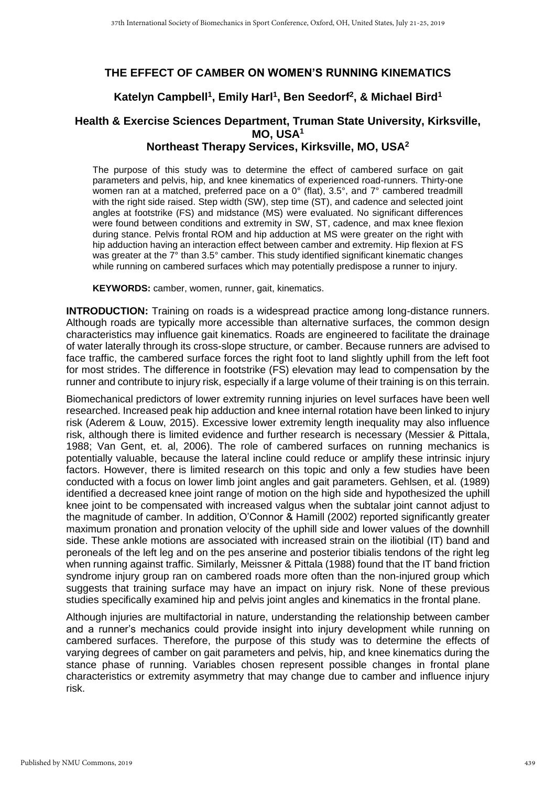#### **THE EFFECT OF CAMBER ON WOMEN'S RUNNING KINEMATICS**

## **Katelyn Campbell<sup>1</sup> , Emily Harl<sup>1</sup> , Ben Seedorf<sup>2</sup> , & Michael Bird<sup>1</sup>**

# **Health & Exercise Sciences Department, Truman State University, Kirksville, MO, USA<sup>1</sup>**

## **Northeast Therapy Services, Kirksville, MO, USA<sup>2</sup>**

The purpose of this study was to determine the effect of cambered surface on gait parameters and pelvis, hip, and knee kinematics of experienced road-runners. Thirty-one women ran at a matched, preferred pace on a 0° (flat), 3.5°, and 7° cambered treadmill with the right side raised. Step width (SW), step time (ST), and cadence and selected joint angles at footstrike (FS) and midstance (MS) were evaluated. No significant differences were found between conditions and extremity in SW, ST, cadence, and max knee flexion during stance. Pelvis frontal ROM and hip adduction at MS were greater on the right with hip adduction having an interaction effect between camber and extremity. Hip flexion at FS was greater at the 7<sup>°</sup> than 3.5<sup>°</sup> camber. This study identified significant kinematic changes while running on cambered surfaces which may potentially predispose a runner to injury.

**KEYWORDS:** camber, women, runner, gait, kinematics.

**INTRODUCTION:** Training on roads is a widespread practice among long-distance runners. Although roads are typically more accessible than alternative surfaces, the common design characteristics may influence gait kinematics. Roads are engineered to facilitate the drainage of water laterally through its cross-slope structure, or camber. Because runners are advised to face traffic, the cambered surface forces the right foot to land slightly uphill from the left foot for most strides. The difference in footstrike (FS) elevation may lead to compensation by the runner and contribute to injury risk, especially if a large volume of their training is on this terrain.

Biomechanical predictors of lower extremity running injuries on level surfaces have been well researched. Increased peak hip adduction and knee internal rotation have been linked to injury risk (Aderem & Louw, 2015). Excessive lower extremity length inequality may also influence risk, although there is limited evidence and further research is necessary (Messier & Pittala, 1988; Van Gent, et. al, 2006). The role of cambered surfaces on running mechanics is potentially valuable, because the lateral incline could reduce or amplify these intrinsic injury factors. However, there is limited research on this topic and only a few studies have been conducted with a focus on lower limb joint angles and gait parameters. Gehlsen, et al. (1989) identified a decreased knee joint range of motion on the high side and hypothesized the uphill knee joint to be compensated with increased valgus when the subtalar joint cannot adjust to the magnitude of camber. In addition, O'Connor & Hamill (2002) reported significantly greater maximum pronation and pronation velocity of the uphill side and lower values of the downhill side. These ankle motions are associated with increased strain on the iliotibial (IT) band and peroneals of the left leg and on the pes anserine and posterior tibialis tendons of the right leg when running against traffic. Similarly, Meissner & Pittala (1988) found that the IT band friction syndrome injury group ran on cambered roads more often than the non-injured group which suggests that training surface may have an impact on injury risk. None of these previous studies specifically examined hip and pelvis joint angles and kinematics in the frontal plane.

Although injuries are multifactorial in nature, understanding the relationship between camber and a runner's mechanics could provide insight into injury development while running on cambered surfaces. Therefore, the purpose of this study was to determine the effects of varying degrees of camber on gait parameters and pelvis, hip, and knee kinematics during the stance phase of running. Variables chosen represent possible changes in frontal plane characteristics or extremity asymmetry that may change due to camber and influence injury risk.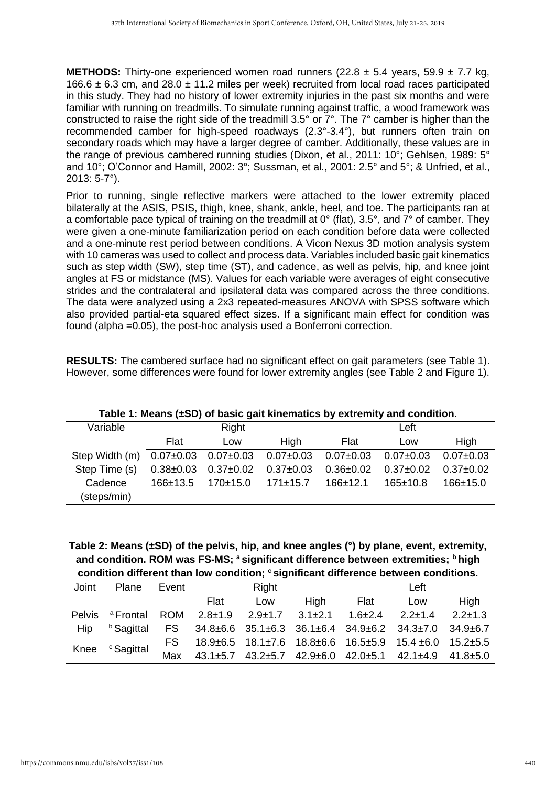**METHODS:** Thirty-one experienced women road runners (22.8 ± 5.4 years, 59.9 ± 7.7 kg, 166.6  $\pm$  6.3 cm, and 28.0  $\pm$  11.2 miles per week) recruited from local road races participated in this study. They had no history of lower extremity injuries in the past six months and were familiar with running on treadmills. To simulate running against traffic, a wood framework was constructed to raise the right side of the treadmill 3.5° or 7°. The 7° camber is higher than the recommended camber for high-speed roadways (2.3°-3.4°), but runners often train on secondary roads which may have a larger degree of camber. Additionally, these values are in the range of previous cambered running studies (Dixon, et al., 2011: 10°; Gehlsen, 1989: 5° and 10°; O'Connor and Hamill, 2002: 3°; Sussman, et al., 2001: 2.5° and 5°; & Unfried, et al., 2013: 5-7°).

Prior to running, single reflective markers were attached to the lower extremity placed bilaterally at the ASIS, PSIS, thigh, knee, shank, ankle, heel, and toe. The participants ran at a comfortable pace typical of training on the treadmill at 0° (flat), 3.5°, and 7° of camber. They were given a one-minute familiarization period on each condition before data were collected and a one-minute rest period between conditions. A Vicon Nexus 3D motion analysis system with 10 cameras was used to collect and process data. Variables included basic gait kinematics such as step width (SW), step time (ST), and cadence, as well as pelvis, hip, and knee joint angles at FS or midstance (MS). Values for each variable were averages of eight consecutive strides and the contralateral and ipsilateral data was compared across the three conditions. The data were analyzed using a 2x3 repeated-measures ANOVA with SPSS software which also provided partial-eta squared effect sizes. If a significant main effect for condition was found (alpha =0.05), the post-hoc analysis used a Bonferroni correction.

**RESULTS:** The cambered surface had no significant effect on gait parameters (see Table 1). However, some differences were found for lower extremity angles (see Table 2 and Figure 1).

| Variable               |                 | Right           |                                                         | Left            |                 |                 |  |
|------------------------|-----------------|-----------------|---------------------------------------------------------|-----------------|-----------------|-----------------|--|
|                        | Flat            | Low             | High                                                    | Flat            | Low             | High            |  |
| Step Width (m)         |                 |                 | $0.07\pm0.03$ $0.07\pm0.03$ $0.07\pm0.03$ $0.07\pm0.03$ |                 | $0.07 \pm 0.03$ | $0.07 \pm 0.03$ |  |
| Step Time (s)          | $0.38 \pm 0.03$ | $0.37{\pm}0.02$ | $0.37 \pm 0.03$                                         | $0.36 \pm 0.02$ | $0.37 \pm 0.02$ | $0.37 \pm 0.02$ |  |
| Cadence<br>(steps/min) | $166+13.5$      | $170+15.0$      | $171 \pm 15.7$                                          | 166±12.1        | $165 \pm 10.8$  | $166 + 15.0$    |  |
|                        |                 |                 |                                                         |                 |                 |                 |  |

**Table 1: Means (±SD) of basic gait kinematics by extremity and condition.**

**Table 2: Means (±SD) of the pelvis, hip, and knee angles (°) by plane, event, extremity, and condition. ROM was FS-MS; <sup>a</sup> significant difference between extremities; <sup>b</sup> high condition different than low condition; <sup>c</sup> significant difference between conditions.**

| Joint         | Plane                 | Event      | Right         |                             |      | Left      |                                                                                     |             |
|---------------|-----------------------|------------|---------------|-----------------------------|------|-----------|-------------------------------------------------------------------------------------|-------------|
|               |                       |            | Flat          | Low                         | High | Flat      | Low                                                                                 | High        |
| <b>Pelvis</b> | <sup>a</sup> Frontal  | <b>ROM</b> | $2.8 \pm 1.9$ | $2.9 \pm 1.7$ $3.1 \pm 2.1$ |      | $1.6+2.4$ | $2.2 \pm 1.4$                                                                       | $2.2 + 1.3$ |
| Hip           | <sup>b</sup> Sagittal | FS -       |               |                             |      |           | $34.8\pm6.6$ $35.1\pm6.3$ $36.1\pm6.4$ $34.9\pm6.2$ $34.3\pm7.0$ $34.9\pm6.7$       |             |
| Knee          | <sup>c</sup> Sagittal | FS.        |               |                             |      |           | $18.9\pm 6.5$ $18.1\pm 7.6$ $18.8\pm 6.6$ $16.5\pm 5.9$ $15.4\pm 6.0$ $15.2\pm 5.5$ |             |
|               |                       | Max        |               |                             |      |           | 43.1±5.7 43.2±5.7 42.9±6.0 42.0±5.1 42.1±4.9 41.8±5.0                               |             |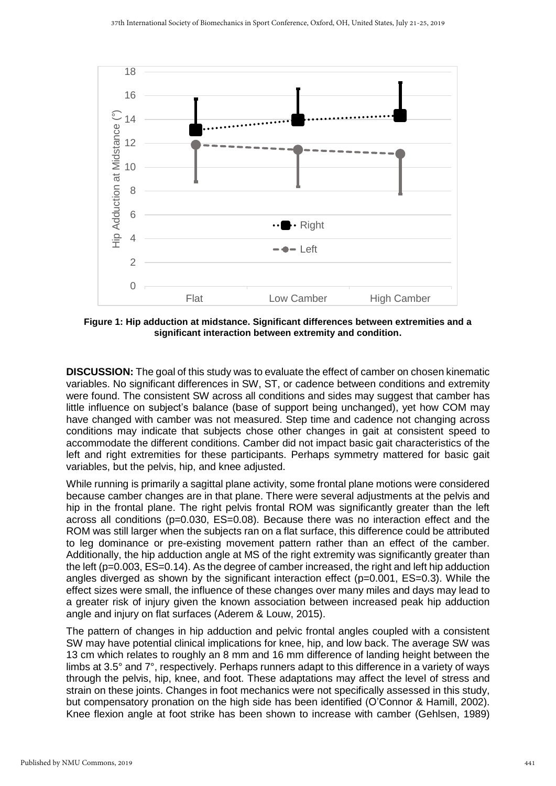

**Figure 1: Hip adduction at midstance. Significant differences between extremities and a significant interaction between extremity and condition.**

**DISCUSSION:** The goal of this study was to evaluate the effect of camber on chosen kinematic variables. No significant differences in SW, ST, or cadence between conditions and extremity were found. The consistent SW across all conditions and sides may suggest that camber has little influence on subject's balance (base of support being unchanged), yet how COM may have changed with camber was not measured. Step time and cadence not changing across conditions may indicate that subjects chose other changes in gait at consistent speed to accommodate the different conditions. Camber did not impact basic gait characteristics of the left and right extremities for these participants. Perhaps symmetry mattered for basic gait variables, but the pelvis, hip, and knee adjusted.

While running is primarily a sagittal plane activity, some frontal plane motions were considered because camber changes are in that plane. There were several adjustments at the pelvis and hip in the frontal plane. The right pelvis frontal ROM was significantly greater than the left across all conditions (p=0.030, ES=0.08). Because there was no interaction effect and the ROM was still larger when the subjects ran on a flat surface, this difference could be attributed to leg dominance or pre-existing movement pattern rather than an effect of the camber. Additionally, the hip adduction angle at MS of the right extremity was significantly greater than the left (p=0.003, ES=0.14). As the degree of camber increased, the right and left hip adduction angles diverged as shown by the significant interaction effect ( $p=0.001$ ,  $ES=0.3$ ). While the effect sizes were small, the influence of these changes over many miles and days may lead to a greater risk of injury given the known association between increased peak hip adduction angle and injury on flat surfaces (Aderem & Louw, 2015).

The pattern of changes in hip adduction and pelvic frontal angles coupled with a consistent SW may have potential clinical implications for knee, hip, and low back. The average SW was 13 cm which relates to roughly an 8 mm and 16 mm difference of landing height between the limbs at 3.5° and 7°, respectively. Perhaps runners adapt to this difference in a variety of ways through the pelvis, hip, knee, and foot. These adaptations may affect the level of stress and strain on these joints. Changes in foot mechanics were not specifically assessed in this study, but compensatory pronation on the high side has been identified (O'Connor & Hamill, 2002). Knee flexion angle at foot strike has been shown to increase with camber (Gehlsen, 1989)